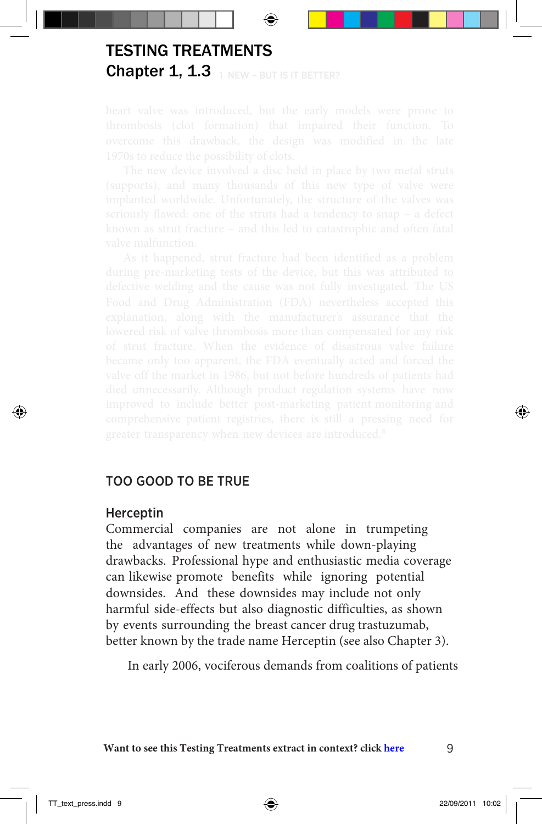# Chapter 1, 1.3  $_{\rm 1\,NEW\,-\,BUT\,IS\,IT\,BETTER2}$ TESTING TREATMENTS

## TOO GOOD TO BE TRUE

#### **Herceptin**

Commercial companies are not alone in trumpeting the advantages of new treatments while down-playing drawbacks. Professional hype and enthusiastic media coverage can likewise promote benefits while ignoring potential downsides. And these downsides may include not only harmful side-effects but also diagnostic difficulties, as shown by events surrounding the breast cancer drug trastuzumab, better known by the trade name Herceptin (see also Chapter 3).

In early 2006, vociferous demands from coalitions of patients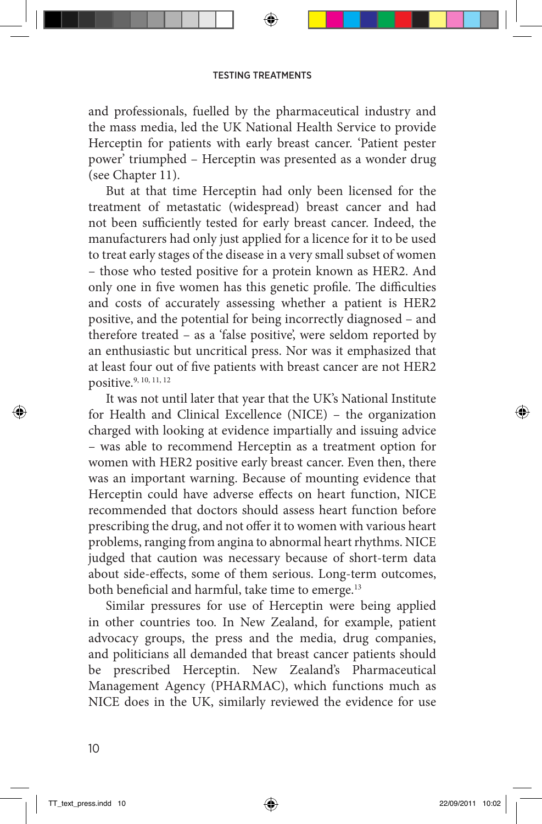and professionals, fuelled by the pharmaceutical industry and the mass media, led the UK National Health Service to provide Herceptin for patients with early breast cancer. 'Patient pester power' triumphed – Herceptin was presented as a wonder drug (see Chapter 11).

But at that time Herceptin had only been licensed for the treatment of metastatic (widespread) breast cancer and had not been sufficiently tested for early breast cancer. Indeed, the manufacturers had only just applied for a licence for it to be used to treat early stages of the disease in a very small subset of women – those who tested positive for a protein known as HER2. And only one in five women has this genetic profile. The difficulties and costs of accurately assessing whether a patient is HER2 positive, and the potential for being incorrectly diagnosed – and therefore treated – as a 'false positive', were seldom reported by an enthusiastic but uncritical press. Nor was it emphasized that at least four out of five patients with breast cancer are not HER2 positive.9, 10, 11, 12

It was not until later that year that the UK's National Institute for Health and Clinical Excellence (NICE) – the organization charged with looking at evidence impartially and issuing advice – was able to recommend Herceptin as a treatment option for women with HER2 positive early breast cancer. Even then, there was an important warning. Because of mounting evidence that Herceptin could have adverse effects on heart function, NICE recommended that doctors should assess heart function before prescribing the drug, and not offer it to women with various heart problems, ranging from angina to abnormal heart rhythms. NICE judged that caution was necessary because of short-term data about side-effects, some of them serious. Long-term outcomes, both beneficial and harmful, take time to emerge.<sup>13</sup>

Similar pressures for use of Herceptin were being applied in other countries too. In New Zealand, for example, patient advocacy groups, the press and the media, drug companies, and politicians all demanded that breast cancer patients should be prescribed Herceptin. New Zealand's Pharmaceutical Management Agency (PHARMAC), which functions much as NICE does in the UK, similarly reviewed the evidence for use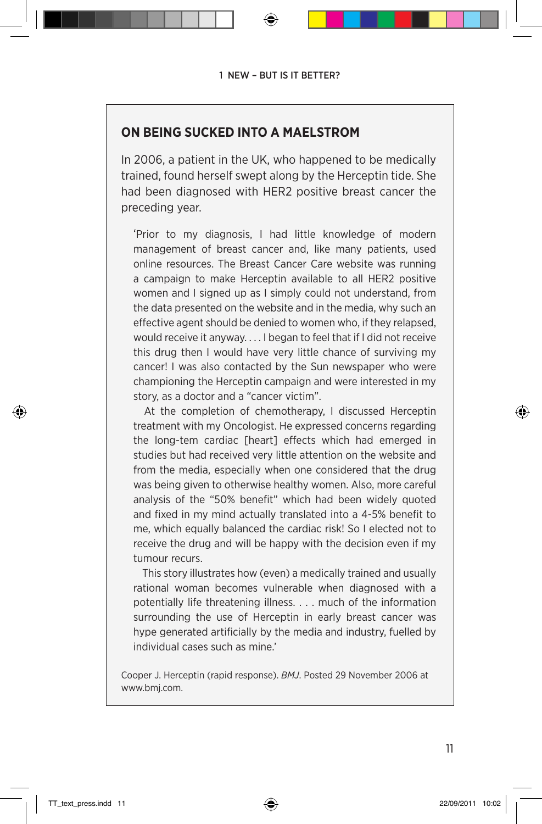### **ON BEING SUCKED INTO A MAELSTROM**

In 2006, a patient in the UK, who happened to be medically trained, found herself swept along by the Herceptin tide. She had been diagnosed with HER2 positive breast cancer the preceding year.

'Prior to my diagnosis, I had little knowledge of modern management of breast cancer and, like many patients, used online resources. The Breast Cancer Care website was running a campaign to make Herceptin available to all HER2 positive women and I signed up as I simply could not understand, from the data presented on the website and in the media, why such an effective agent should be denied to women who, if they relapsed, would receive it anyway. . . . I began to feel that if I did not receive this drug then I would have very little chance of surviving my cancer! I was also contacted by the Sun newspaper who were championing the Herceptin campaign and were interested in my story, as a doctor and a "cancer victim".

 At the completion of chemotherapy, I discussed Herceptin treatment with my Oncologist. He expressed concerns regarding the long-tem cardiac [heart] effects which had emerged in studies but had received very little attention on the website and from the media, especially when one considered that the drug was being given to otherwise healthy women. Also, more careful analysis of the "50% benefit" which had been widely quoted and fixed in my mind actually translated into a 4-5% benefit to me, which equally balanced the cardiac risk! So I elected not to receive the drug and will be happy with the decision even if my tumour recurs.

 This story illustrates how (even) a medically trained and usually rational woman becomes vulnerable when diagnosed with a potentially life threatening illness. . . . much of the information surrounding the use of Herceptin in early breast cancer was hype generated artificially by the media and industry, fuelled by individual cases such as mine.'

Cooper J. Herceptin (rapid response). *BMJ*. Posted 29 November 2006 at www.bmj.com.